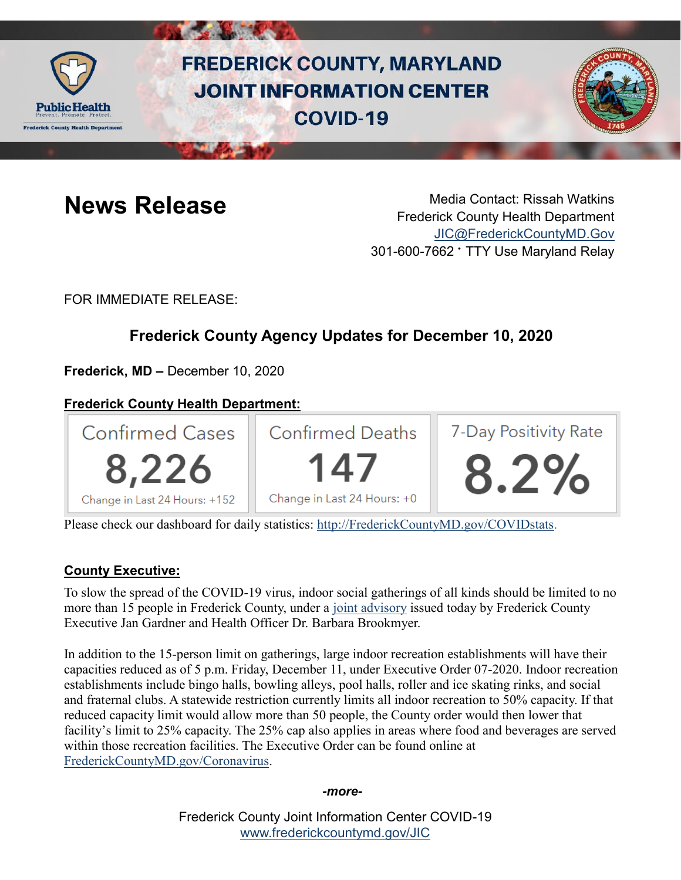

# **FREDERICK COUNTY, MARYLAND JOINT INFORMATION CENTER COVID-19**



**News Release** Media Contact: Rissah Watkins Frederick County Health Department [JIC@FrederickCountyMD.Gov](mailto:JIC@FrederickCountyMD.Gov) 301-600-7662 • TTY Use Maryland Relay

FOR IMMEDIATE RELEASE:

# **Frederick County Agency Updates for December 10, 2020**

**Frederick, MD –** December 10, 2020

# **Frederick County Health Department:**



Please check our dashboard for daily statistics: [http://FrederickCountyMD.gov/COVIDstats.](http://frederickcountymd.gov/COVIDstats)

# **County Executive:**

To slow the spread of the COVID-19 virus, indoor social gatherings of all kinds should be limited to no more than 15 people in Frederick County, under a [joint advisory](https://www.frederickcountymd.gov/DocumentCenter/View/330342/Directive-and-Guidance-12-09-20) issued today by Frederick County Executive Jan Gardner and Health Officer Dr. Barbara Brookmyer.

In addition to the 15-person limit on gatherings, large indoor recreation establishments will have their capacities reduced as of 5 p.m. Friday, December 11, under Executive Order 07-2020. Indoor recreation establishments include bingo halls, bowling alleys, pool halls, roller and ice skating rinks, and social and fraternal clubs. A statewide restriction currently limits all indoor recreation to 50% capacity. If that reduced capacity limit would allow more than 50 people, the County order would then lower that facility's limit to 25% capacity. The 25% cap also applies in areas where food and beverages are served within those recreation facilities. The Executive Order can be found online at [FrederickCountyMD.gov/Coronavirus.](https://www.frederickcountymd.gov/8071/Coronavirus---COVID-19-Resources)

*-more-*

Frederick County Joint Information Center COVID-19 [www.frederickcountymd.gov/JIC](https://frederickcountymd.gov/JIC)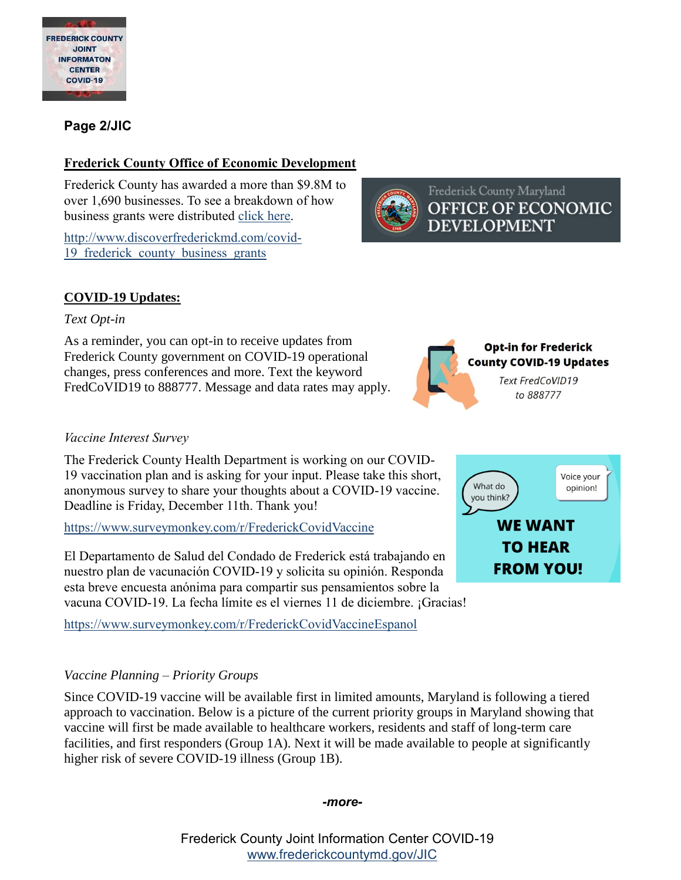

### **Page 2/JIC**

#### **Frederick County Office of Economic Development**

Frederick County has awarded a more than \$9.8M to over 1,690 businesses. To see a breakdown of how business grants were distributed [click here.](http://www.discoverfrederickmd.com/covid-19_frederick_county_business_grants)

[http://www.discoverfrederickmd.com/covid-](http://www.discoverfrederickmd.com/covid-19_frederick_county_business_grants)19 frederick county business grants

Frederick County Maryland **OFFICE OF ECONOMIC DEVELOPMENT** 

> **Opt-in for Frederick County COVID-19 Updates** Text FredCoVID19 to 888777

> > **WE WANT TO HEAR**

Voice your

opinion!

# **COVID-19 Updates:**

#### *Text Opt-in*

As a reminder, you can opt-in to receive updates from Frederick County government on COVID-19 operational changes, press conferences and more. Text the keyword FredCoVID19 to 888777. Message and data rates may apply.

#### *Vaccine Interest Survey*

The Frederick County Health Department is working on our COVID-19 vaccination plan and is asking for your input. Please take this short, anonymous survey to share your thoughts about a COVID-19 vaccine. Deadline is Friday, December 11th. Thank you!

<https://www.surveymonkey.com/r/FrederickCovidVaccine>

El Departamento de Salud del Condado de Frederick está trabajando en nuestro plan de vacunación COVID-19 y solicita su opinión. Responda esta breve encuesta anónima para compartir sus pensamientos sobre la vacuna COVID-19. La fecha límite es el viernes 11 de diciembre. ¡Gracias!

<https://www.surveymonkey.com/r/FrederickCovidVaccineEspanol>

#### *Vaccine Planning – Priority Groups*

Since COVID-19 vaccine will be available first in limited amounts, Maryland is following a tiered approach to vaccination. Below is a picture of the current priority groups in Maryland showing that vaccine will first be made available to healthcare workers, residents and staff of long-term care facilities, and first responders (Group 1A). Next it will be made available to people at significantly higher risk of severe COVID-19 illness (Group 1B).

*-more-*

[www.frederickcountymd.gov/JIC](https://frederickcountymd.gov/JIC)



**FROM YOU!** 

What do

you think?